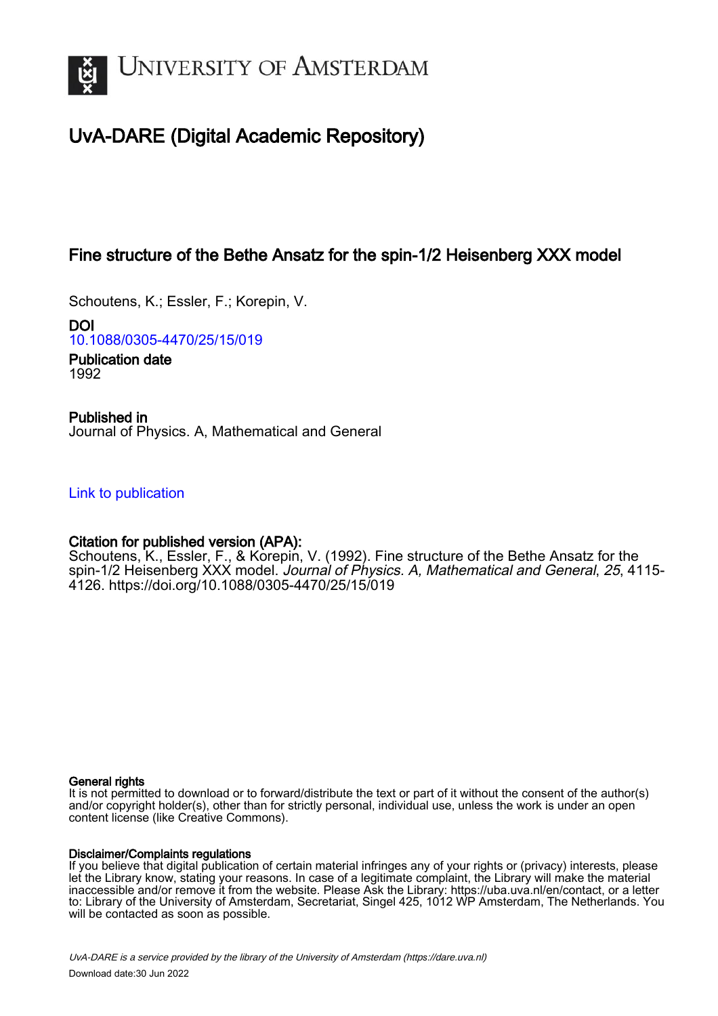

# UvA-DARE (Digital Academic Repository)

## Fine structure of the Bethe Ansatz for the spin-1/2 Heisenberg XXX model

Schoutens, K.; Essler, F.; Korepin, V.

DOI [10.1088/0305-4470/25/15/019](https://doi.org/10.1088/0305-4470/25/15/019)

Publication date 1992

Published in Journal of Physics. A, Mathematical and General

[Link to publication](https://dare.uva.nl/personal/pure/en/publications/fine-structure-of-the-bethe-ansatz-for-the-spin12-heisenberg-xxx-model(f0d9e6d0-fc00-42f3-9631-120bc6d59357).html)

### Citation for published version (APA):

Schoutens, K., Essler, F., & Korepin, V. (1992). Fine structure of the Bethe Ansatz for the spin-1/2 Heisenberg XXX model. Journal of Physics. A, Mathematical and General, 25, 4115-4126.<https://doi.org/10.1088/0305-4470/25/15/019>

#### General rights

It is not permitted to download or to forward/distribute the text or part of it without the consent of the author(s) and/or copyright holder(s), other than for strictly personal, individual use, unless the work is under an open content license (like Creative Commons).

#### Disclaimer/Complaints regulations

If you believe that digital publication of certain material infringes any of your rights or (privacy) interests, please let the Library know, stating your reasons. In case of a legitimate complaint, the Library will make the material inaccessible and/or remove it from the website. Please Ask the Library: https://uba.uva.nl/en/contact, or a letter to: Library of the University of Amsterdam, Secretariat, Singel 425, 1012 WP Amsterdam, The Netherlands. You will be contacted as soon as possible.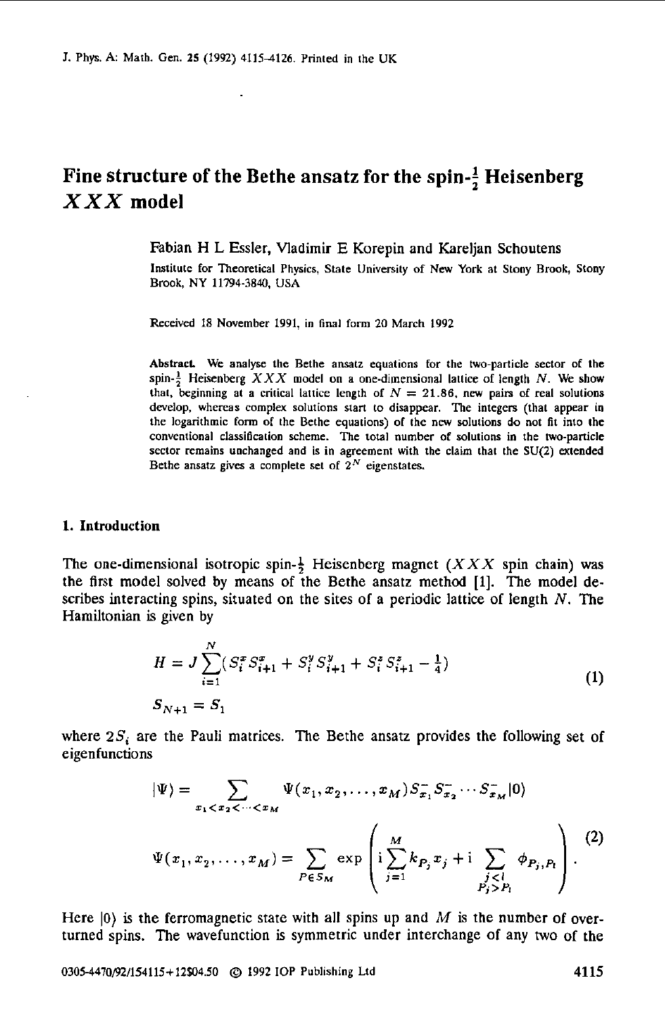## Fine structure of the Bethe ansatz for the spin- $\frac{1}{2}$  Heisenberg *X X X* **model**

Fabian H L Essler, Vladimir E Korepin and Kareljan Schoutens

**Institute** for Theoretical Physics, **Slate** Univemily **of New** York at Stony Brook, Stony Brook, NY **11794-3840, USA** 

Received 18 November 1991. in final **form** 20 March 1992

Abstract. We analyse the Bethe ansalz equations for the two-particle sector of the spin- $\frac{1}{2}$  Heisenberg *XXX* model on a one-dimensional lattice of length *N*. We show that. beginning at a critical lattice length of  $N = 21.86$ , new pairs of real solutions develop, whereas complex solutions start to disappear. The integers (that appear in the logarithmic form **of** the Bethe equations) **of** the *ow* solutions do **not** fit inlo the conventional classification scheme. The total number of solutions in the two-particle sector remains unchanged and is in agreement with the claim that the **SU(2)** extended Bethe ansatz gives a complete set of  $2^N$  eigenstates.

#### **1. Introduction**

The one-dimensional isotropic spin- $\frac{1}{2}$  Heisenberg magnet (XXX spin chain) was the first model solved by means of the Bethe ansatz method [l]. The model describes interacting spins, situated **on** the sites of a periodic lattice of length *N.* The Hamiltonian is given by

$$
H = J \sum_{i=1}^{N} (S_i^x S_{i+1}^x + S_i^y S_{i+1}^y + S_i^z S_{i+1}^z - \frac{1}{4})
$$
  
\n
$$
S_{N+1} = S_1
$$
\n(1)

where  $2S_i$  are the Pauli matrices. The Bethe ansatz provides the following set of eigenfunctions

$$
|\Psi\rangle = \sum_{x_1 < x_2 < \dots < x_M} \Psi(x_1, x_2, \dots, x_M) S_{x_1}^{-} S_{x_2}^{-} \dots S_{x_M}^{-} |0\rangle
$$
\n
$$
\Psi(x_1, x_2, \dots, x_M) = \sum_{P \in S_M} \exp\left(i \sum_{j=1}^M k_{P_j} x_j + i \sum_{\substack{j < l \\ P_j > P_l}} \phi_{P_j, P_l}\right).
$$
\n(2)

Here  $|0\rangle$  is the ferromagnetic state with all spins up and  $M$  is the number of overturned spins. The wavefunction is symmetric under interchange of any two of the

**0305-4470~/154115+12504.50** @ 1992 **IOP** Publishing Ltd **4115**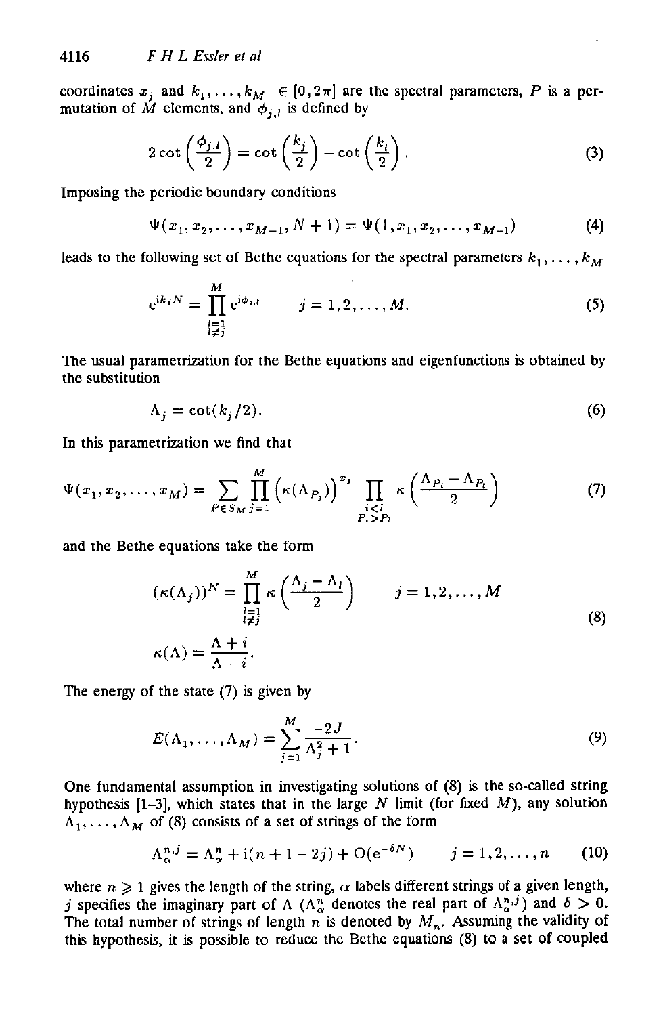coordinates  $x_j$  and  $k_1, \ldots, k_M \in [0, 2\pi]$  are the spectral parameters, P is a permutation of M elements, and  $\phi_{j,l}$  is defined by

$$
2 \cot \left(\frac{\phi_{j,l}}{2}\right) = \cot \left(\frac{k_j}{2}\right) - \cot \left(\frac{k_l}{2}\right). \tag{3}
$$

Imposing the periodic boundary conditions

$$
\Psi(x_1, x_2, \dots, x_{M-1}, N+1) = \Psi(1, x_1, x_2, \dots, x_{M-1})
$$
\n(4)

leads to the following set of Bethe equations for the spectral parameters  $k_1, \ldots, k_M$ 

$$
e^{ik_j N} = \prod_{\substack{j=1\\j\neq j}}^M e^{i\phi_{j,l}} \qquad j = 1, 2, ..., M.
$$
 (5)

The usual parametrization for the Bethe equations and eigenfunctions is obtained by the substitution

$$
\Lambda_j = \cot(k_j/2). \tag{6}
$$

In this parametrization we find that

$$
\Psi(x_1, x_2, \dots, x_M) = \sum_{P \in S_M} \prod_{j=1}^M \left( \kappa(\Lambda_{P_j}) \right)^{x_j} \prod_{\substack{i < l \\ P_i > P_i}} \kappa\left(\frac{\Lambda_{P_i} - \Lambda_{P_i}}{2}\right) \tag{7}
$$

and the Bethe equations take the form

$$
(\kappa(\Lambda_j))^N = \prod_{\substack{l=1 \ l \neq j}}^M \kappa\left(\frac{\Lambda_j - \Lambda_l}{2}\right) \qquad j = 1, 2, ..., M
$$
  

$$
\kappa(\Lambda) = \frac{\Lambda + i}{\Lambda - i}.
$$
 (8)

The energy of the state (7) **is** given by

$$
E(\Lambda_1, \dots, \Lambda_M) = \sum_{j=1}^M \frac{-2J}{\Lambda_j^2 + 1}.
$$
\n(9)

One fundamental assumption in investigating solutions of (8) is the so-called string hypothesis  $[1-3]$ , which states that in the large N limit (for fixed M), any solution  $A_1, \ldots, A_M$  of (8) consists of a set of strings of the form

$$
\Lambda_{\alpha}^{n,j} = \Lambda_{\alpha}^{n} + \mathrm{i}(n+1-2j) + \mathrm{O}(\mathrm{e}^{-\delta N}) \qquad j = 1, 2, \dots, n \tag{10}
$$

where  $n \geq 1$  gives the length of the string,  $\alpha$  labels different strings of a given length, *j* specifies the imaginary part of  $\Lambda$  ( $\Lambda_{\alpha}^{n}$  denotes the real part of  $\Lambda_{\alpha}^{n,j}$ ) and  $\delta > 0$ . The total number of strings of length  $n$  is denoted by  $M_n$ . Assuming the validity of this hypothesis, it is possible to reduce the Bethe equations (8) to a set of coupled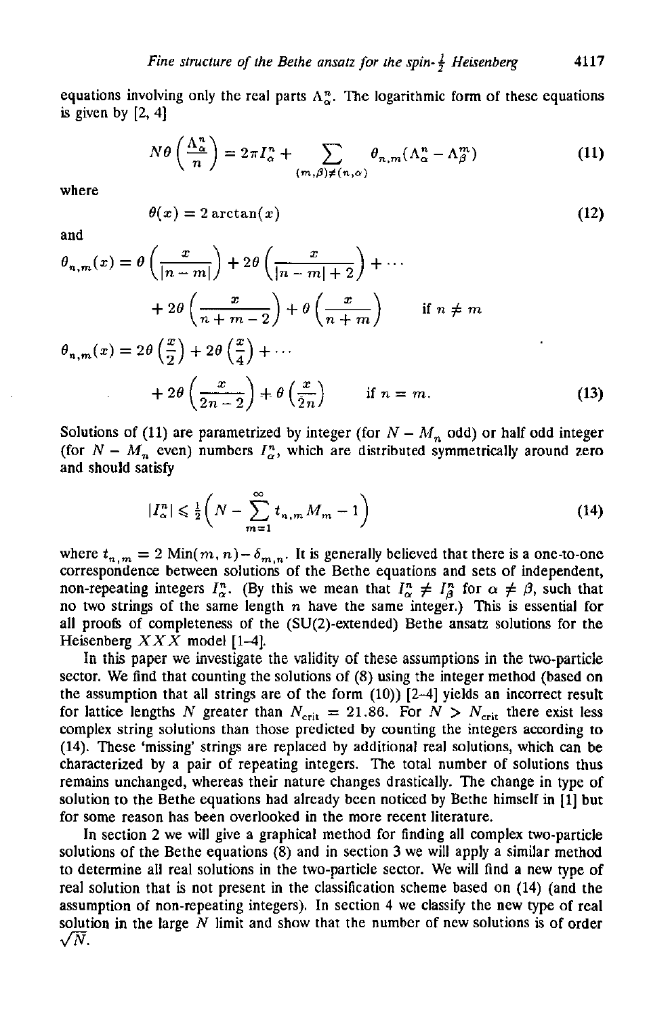equations involving only the real parts  $\Lambda^n_{\alpha}$ . The logarithmic form of these equations is given by  $[2, 4]$ 

$$
N\theta\left(\frac{\Lambda_{\alpha}^{n}}{n}\right) = 2\pi I_{\alpha}^{n} + \sum_{(m,\beta)\neq(n,\alpha)} \theta_{n,m}(\Lambda_{\alpha}^{n} - \Lambda_{\beta}^{m})
$$
(11)

where

$$
\theta(x) = 2 \arctan(x) \tag{12}
$$

and

$$
\theta_{n,m}(x) = \theta\left(\frac{x}{|n-m|}\right) + 2\theta\left(\frac{x}{|n-m|+2}\right) + \cdots
$$
  
+ 
$$
2\theta\left(\frac{x}{n+m-2}\right) + \theta\left(\frac{x}{n+m}\right) \quad \text{if } n \neq m
$$
  

$$
\theta_{n,m}(x) = 2\theta\left(\frac{x}{2}\right) + 2\theta\left(\frac{x}{4}\right) + \cdots
$$
  
+ 
$$
2\theta\left(\frac{x}{2n-2}\right) + \theta\left(\frac{x}{2n}\right) \quad \text{if } n = m.
$$
 (13)

Solutions of (11) are parametrized by integer (for  $N - M_n$  odd) or half odd integer (for  $N - M_n$  even) numbers  $I_{\alpha}^{n}$ , which are distributed symmetrically around zero and should satisfy

$$
|I_{\alpha}^n| \leqslant \frac{1}{2} \left( N - \sum_{m=1}^{\infty} t_{n,m} M_m - 1 \right) \tag{14}
$$

where  $t_{n,m} = 2 \text{ Min}(m, n) - \delta_{m,n}$ . It is generally believed that there is a one-to-one correspondence between solutions **of** the Bethe equations and sets of independent, non-repeating integers  $I_{\alpha}^{n}$ . (By this we mean that  $I_{\alpha}^{n} \neq I_{\beta}^{n}$  for  $\alpha \neq \beta$ , such that no two strings of the same length *n* have the same integer.) **This** is essential **for**  all proofs of completeness of the  $(SU(2)$ -extended) Bethe ansatz solutions for the Heisenberg *XXX* model **[1-4].** 

sector. We find that counting the solutions of (8) using the integer method (based on the assumption that all strings are of the form **(10))** [24] yields an incorrect result for lattice lengths *N* greater than  $N_{\text{crit}} = 21.86$ . For  $N > N_{\text{crit}}$  there exist less complex string solutions than those predicted by counting the integers according to (14). These 'missing' strings are replaced by additional real solutions, which can be characterized by a pair of repeating integers. The total number of solutions thus remains unchanged, whereas their nature changes drastically. The change in type of solution to the Bethe equations had already been noticed by Bethe himself in  $[1]$  but for some reason has been overlooked in the more recent literature. In this paper we investigate the validity of these assumptions in the two-particle

In section **2** we will give a graphical method for finding all complex two-particle solutions of the Bethe equations (8) and in section **3** we will apply a similar method to determine all real solutions in the two-particle sector. We will find **a** new type **of**  real solution that is not present in the clasification scheme based on **(14)** (and the assumption of non-repeating integers). In section **4** we classify the new type of real solution in the large *N* limit and show that the number **of** new solutions is of order  $\sqrt{N}$ .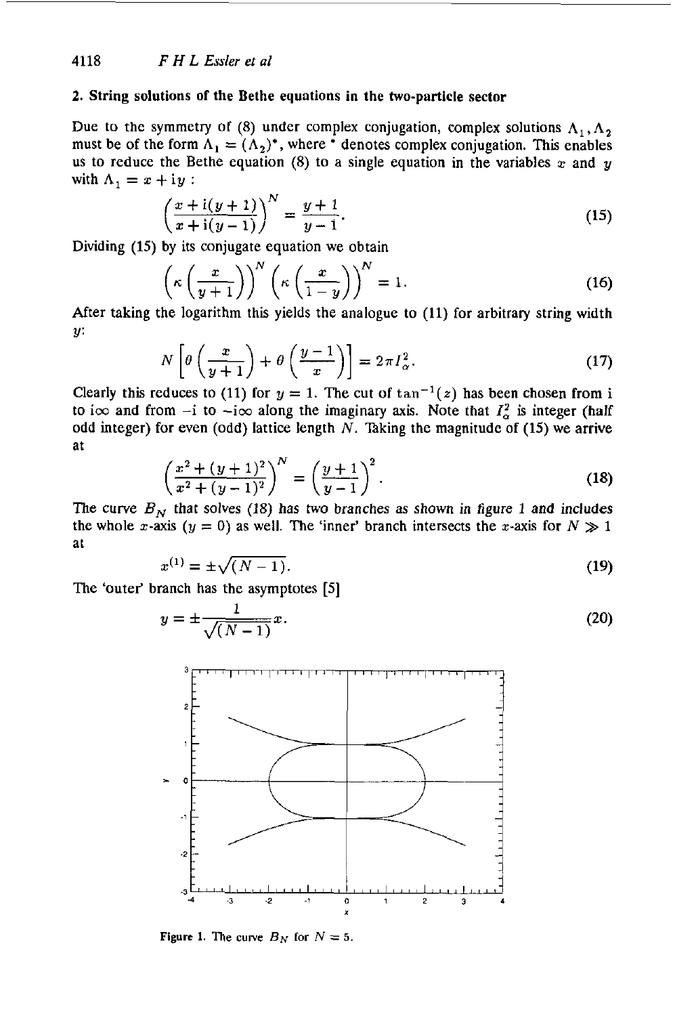#### **2. String solutions of the Bethe equations in the two-particle sector**

Due to the symmetry of (8) under complex conjugation, complex solutions  $\Lambda_1, \Lambda_2$ must be of the form  $\Lambda_1 = (\Lambda_2)^*$ , where \* denotes complex conjugation. This enables us to reduce the Bethe equation  $(8)$  to a single equation in the variables  $x$  and  $y$ with  $\Lambda_1 = x + iy$ :

$$
\left(\frac{x+i(y+1)}{x+i(y-1)}\right)^N = \frac{y+1}{y-1}.\tag{15}
$$

Dividing **(15)** by its conjugate equation we obtain

$$
\left(\kappa\left(\frac{x}{y+1}\right)\right)^N \left(\kappa\left(\frac{x}{1-y}\right)\right)^N = 1.
$$
\n(16)

\nis logarithm, this yields the scalars to (11) for arbitrary string with

After taking the logarithm this yields the analogue to (11) for arbitrary string width **Y:** 

$$
N\left[\theta\left(\frac{x}{y+1}\right) + \theta\left(\frac{y-1}{x}\right)\right] = 2\pi I_{\alpha}^{2}.
$$
 (17)

Clearly this reduces to (11) for  $y = 1$ . The cut of  $\tan^{-1}(z)$  has been chosen from i to i $\infty$  and from  $-i$  to  $-i\infty$  along the imaginary axis. Note that  $I_{\alpha}^2$  is integer (half odd integer) for even (odd) lattice length  $N$ . Taking the magnitude of (15) we arrive at

$$
\left(\frac{x^2 + (y+1)^2}{x^2 + (y-1)^2}\right)^N = \left(\frac{y+1}{y-1}\right)^2.
$$
\n(18)

The curve  $B_N$  that solves (18) has two branches as shown in figure 1 and includes the whole x-axis ( $y = 0$ ) as well. The 'inner' branch intersects the x-axis for  $N \gg 1$ at

$$
x^{(1)} = \pm \sqrt{(N-1)}.
$$
 (19)

The 'outer' branch has the asymptotes [5]

$$
y = \pm \frac{1}{\sqrt{(N-1)}}x.
$$
\n<sup>(20)</sup>



**Figure 1.** The curve  $B_N$  for  $N = 5$ .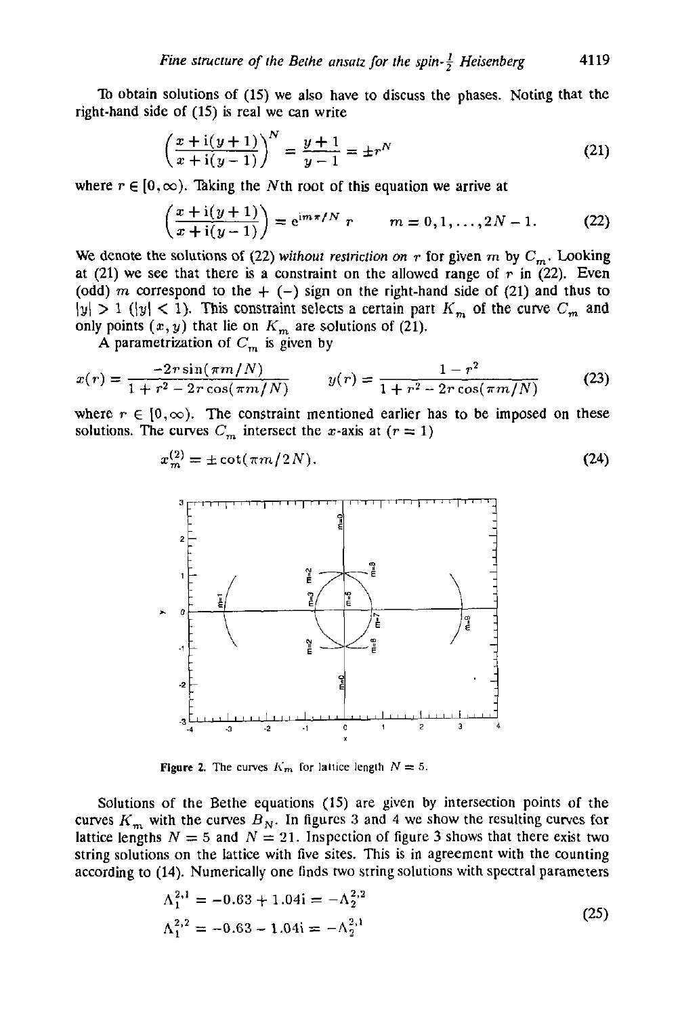**To** obtain solutions of **(15)** we also have to discuss the phases. Noting that the right-hand side of **(15)** is real we can write

$$
\left(\frac{x+i(y+1)}{x+i(y-1)}\right)^N = \frac{y+1}{y-1} = \pm r^N
$$
\n(21)

where  $r \in [0, \infty)$ . Taking the Nth root of this equation we arrive at

$$
\left(\frac{x + i(y + 1)}{x + i(y - 1)}\right) = e^{im\pi/N} r \qquad m = 0, 1, ..., 2N - 1.
$$
 (22)

We denote the solutions of (22) without *restriction on* r for given m by  $C_m$ . Looking at (21) we see that there is a constraint on the allowed range of  $r$  in (22). Even (odd) m correspond to the  $+$  (-) sign on the right-hand side of (21) and thus to only points  $(x, y)$  that lie on  $K_m$  are solutions of (21).  $|y| > 1$  ( $|y| < 1$ ). This constraint selects a certain part  $K_m$  of the curve  $C_m$  and

A parametrization of  $C_m$  is given by

$$
x(r) = \frac{-2r\sin(\pi m/N)}{1+r^2-2r\cos(\pi m/N)} \qquad y(r) = \frac{1-r^2}{1+r^2-2r\cos(\pi m/N)} \tag{23}
$$

where  $r \in [0,\infty)$ . The constraint mentioned earlier has to be imposed on these solutions. The curves  $C_m$  intersect the x-axis at  $(r = 1)$ 

$$
x_m^{(2)} = \pm \cot(\pi m/2N). \tag{24}
$$



**Figure 2.** The curves  $K_m$  for lattice length  $N = 5$ .

Solutions of the Bethe equations (15) are given by intersection points of the curves  $K_m$  with the curves  $B_N$ . In figures 3 and 4 we show the resulting curves for lattice lengths  $N = 5$  and  $N = 21$ . Inspection of figure 3 shows that there exist two string solutions on the lattice with five sites. This is in agreement with the counting according to (14). Numerically one finds two string solutions with spectral parameters

$$
\Lambda_1^{2,1} = -0.63 + 1.04i = -\Lambda_2^{2,2}
$$
  
\n
$$
\Lambda_1^{2,2} = -0.63 - 1.04i = -\Lambda_2^{2,1}
$$
\n(25)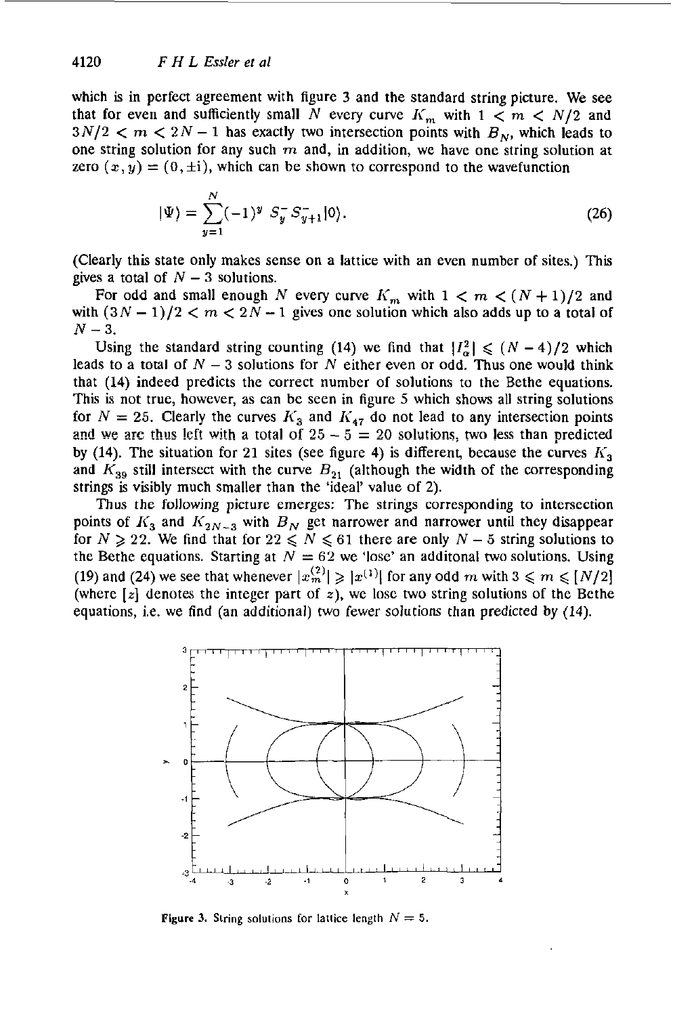which is in perfect agreement with figure 3 and the standard string picture. We see that for even and sufficiently small N every curve  $K_m$  with  $1 \lt m \lt N/2$  and  $3N/2 < m < 2N - 1$  has exactly two intersection points with  $B_N$ , which leads to one string solution for any such *m* and, in addition, we have one string solution at zero  $(x, y) = (0, \pm i)$ , which can be shown to correspond to the wavefunction

$$
|\Psi\rangle = \sum_{y=1}^{N} (-1)^y S_y^- S_{y+1}^- |0\rangle.
$$
 (26)

(Clearly this state only makes sense on a lattice with an even number of sites.) This gives a total of  $N - 3$  solutions.

For odd and small enough N every curve  $K_m$  with  $1 < m < (N + 1)/2$  and with  $(3N-1)/2 < m < 2N-1$  gives one solution which also adds up to a total of  $N - 3$ .

Using the standard string counting (14) we find that  $|I_{\alpha}^2| \leq (N-4)/2$  which leads to a total of  $N - 3$  solutions for N either even or odd. Thus one would think that **(14)** indeed predicts the correct number of solutions to the Bethe equations. This is not true, however, as can be seen in figure *5* which shows all string solutions for  $N = 25$ . Clearly the curves  $K_3$  and  $K_{47}$  do not lead to any intersection points and we are thus left with a total of  $25 - 5 = 20$  solutions, two less than predicted by (14). The situation for 21 sites (see figure 4) is different, because the curves  $K_3$ and  $K_{39}$  still intersect with the curve  $B_{21}$  (although the width of the corresponding strings is visibly much smaller than the 'ideal' value of 2).

**Thus** the following picture emerges: The strings corresponding to intersection points of  $K_3$  and  $K_{2N-3}$  with  $B_N$  get narrower and narrower until they disappear for  $N \ge 22$ . We find that for  $22 \le N \le 61$  there are only  $N-5$  string solutions to the Bethe equations. Starting at  $N = 62$  we 'lose' an additional two solutions. Using (19) and (24) we see that whenever  $|x_m^{(2)}| \ge |x^{(1)}|$  for any odd m with  $3 \le m \le [N/2]$ (where  $[z]$  denotes the integer part of  $z$ ), we lose two string solutions of the Bethe equations, i.e. we find (an additional) two fewer solutions than predicted **by (14).** 



**Figure 3.** String solutions for lattice length  $N = 5$ .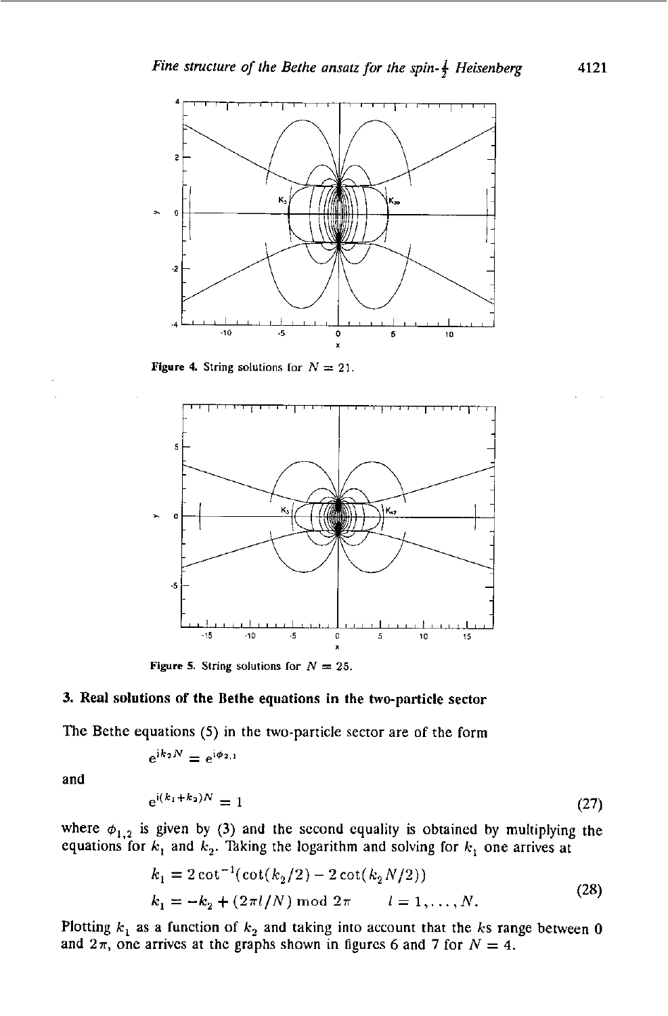

**Figure 4.** String solutions for  $N = 21$ .



**Figure 5.** String solutions for  $N = 25$ .

#### 3. Real solutions of the Bethe equations in the two-particle sector

The Bethe equations (5) in the two-particle sector are of the form  $e^{ik_2N} = e^{i\phi_{2,1}}$ 

$$
e^{\mathrm{i}k_2N}=e^{\mathrm{i}\phi_{2,1}}
$$

and

$$
e^{i(k_1+k_2)N} = 1
$$
 (27)

where  $\phi_{1,2}$  is given by (3) and the second equality is obtained by multiplying the equations for  $k_1$  and  $k_2$ . Taking the logarithm and solving for  $k_1$  one arrives at

$$
k_1 = 2 \cot^{-1}(\cot(k_2/2) - 2 \cot(k_2N/2))
$$
  
\n
$$
k_1 = -k_2 + (2\pi l/N) \mod 2\pi \qquad l = 1, ..., N.
$$
 (28)

Plotting  $k_1$  as a function of  $k_2$  and taking into account that the *ks* range between 0 and  $2\pi$ , one arrives at the graphs shown in figures 6 and 7 for  $N = 4$ .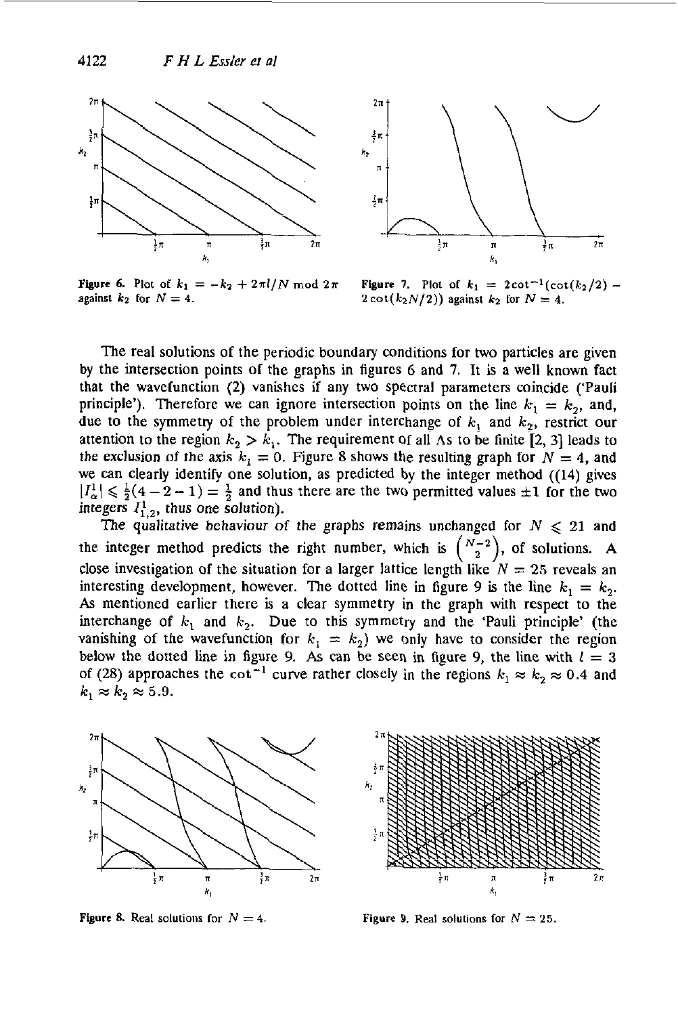

**Figure 6.** Plot of  $k_1 = -k_2 + 2\pi l/N \text{ mod } 2\pi$ **against**  $k_2$  for  $N = 4$ .



**Figure 7.** Plot of  $k_1 = 2 \cot^{-1}(\cot(k_2/2) 2 \cot(k_2N/2)$  **against**  $k_2$  for  $N = 4$ .

The real solutions of the periodic boundary conditions for two particles are given by the intersection points of the graphs in figures *6* and **7.** It is a well known fact that the wavefunction **(2)** vanishes if any two spectral parameters coincide ('Pauli principle'). Therefore we can ignore intersection points on the line  $k_1 = k_2$ , and, due to the symmetry of the problem under interchange of  $k_1$  and  $k_2$ , restrict our attention to the region  $k_2 > k_1$ . The requirement of all As to be finite [2, 3] leads to the applying of the problem. attention to the region  $k_2 > k_1$ . The requirement of all As to be finite [2, 3] leads to the exclusion of the axis  $k_1 = 0$ . Figure 8 shows the resulting graph for  $N = 4$ , and we **can** clearly identify one solution, as predicted by the integer method **((14)** gives  $|I^1_{\alpha}| \leq \frac{1}{2}(4-2-1) = \frac{1}{2}$  and thus there are the two permitted values  $\pm 1$  for the two integers  $I_{1,2}^1$ , thus one solution).

The qualitative behaviour of the graphs remains unchanged for  $N \le 21$  and close investigation of the situation for a larger lattice length like  $N = 25$  reveals an interesting development, however. The dotted line in figure 9 is the line  $k_1 = k_2$ . As mentioned earlier there is a clear symmetry in the graph with respect to the interchange of  $k_1$  and  $k_2$ . Due to this symmetry and the 'Pauli principle' (the vanishing of the wavefunction for  $k_1 = k_2$  we only have to consider the region below the dotted line in figure 9. As can be seen in figure 9, the line with  $l = 3$ of (28) approaches the  $\cot^{-1}$  curve rather closely in the regions  $k_1 \approx k_2 \approx 0.4$  and  $k_1 \approx k_2 \approx 5.9$ . the integer method predicts the right number, which is  $\binom{N-2}{2}$ , of solutions. **A** 





**Figure 8.** Real solutions for  $N = 4$ . **Figure 9.** Real solutions for  $N = 25$ .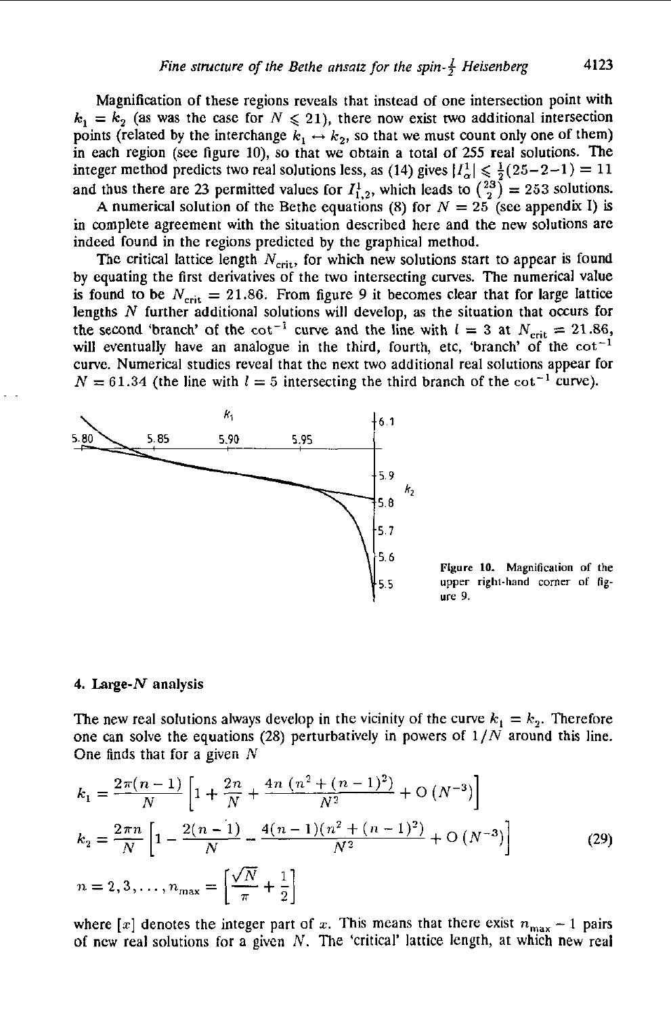Magnification of these regions reveals that instead of one intersection point with  $k_1 = k_2$  (as was the case for  $N \le 21$ ), there now exist two additional intersection points (related by the interchange  $k_1 \leftrightarrow k_2$ , so that we must count only one of them) in each region (see figure 10), so that we obtain a total of 255 real solutions. The integer method predicts two real solutions less, as (14) gives  $|I_{\alpha}^{1}| \leq \frac{1}{2}(25-2-1) = 11$ and thus there are 23 permitted values for  $I_{1,2}^1$ , which leads to  $\binom{23}{2} = 253$  solutions.

A numerical solution of the Bethe equations (8) for  $N = 25$  (see appendix I) is in complete agreement with the situation described here and the new solutions are indeed found in the regions predicted by the graphical method.

The critical lattice length  $N_{\text{crit}}$ , for which new solutions start to appear is found by equating the first derivatives of the two intersecting curves. The numerical value is found to be  $N_{\text{crit}} = 21.86$ . From figure 9 it becomes clear that for large lattice lengths  $N$  further additional solutions will develop, as the situation that occurs for the second 'branch' of the  $cot^{-1}$  curve and the line with  $l = 3$  at  $N_{\text{crit}} = 21.86$ , will eventually have an analogue in the third, fourth, etc, 'branch' of the  $cot^{-1}$ curve. Numerical studies reveal that the next two additional real solutions appear for  $N = 61.34$  (the line with  $l = 5$  intersecting the third branch of the cot<sup>-1</sup> curve).



Figure 10. Magnification of the upper right-hand corner of figure 9.

#### 4. Large- $N$  analysis

The new real solutions always develop in the vicinity of the curve  $k_1 = k_2$ . Therefore one can solve the equations (28) perturbatively in powers of  $1/N$  around this line. One finds that for a given  $N$ 

$$
k_1 = \frac{2\pi(n-1)}{N} \left[ 1 + \frac{2n}{N} + \frac{4n(n^2 + (n-1)^2)}{N^2} + O(N^{-3}) \right]
$$
  
\n
$$
k_2 = \frac{2\pi n}{N} \left[ 1 - \frac{2(n-1)}{N} - \frac{4(n-1)(n^2 + (n-1)^2)}{N^2} + O(N^{-3}) \right]
$$
  
\n
$$
n = 2, 3, ..., n_{\text{max}} = \left[ \frac{\sqrt{N}}{\pi} + \frac{1}{2} \right]
$$
 (29)

where [x] denotes the integer part of x. This means that there exist  $n_{\text{max}} - 1$  pairs of new real solutions for a given  $N$ . The 'critical' lattice length, at which new real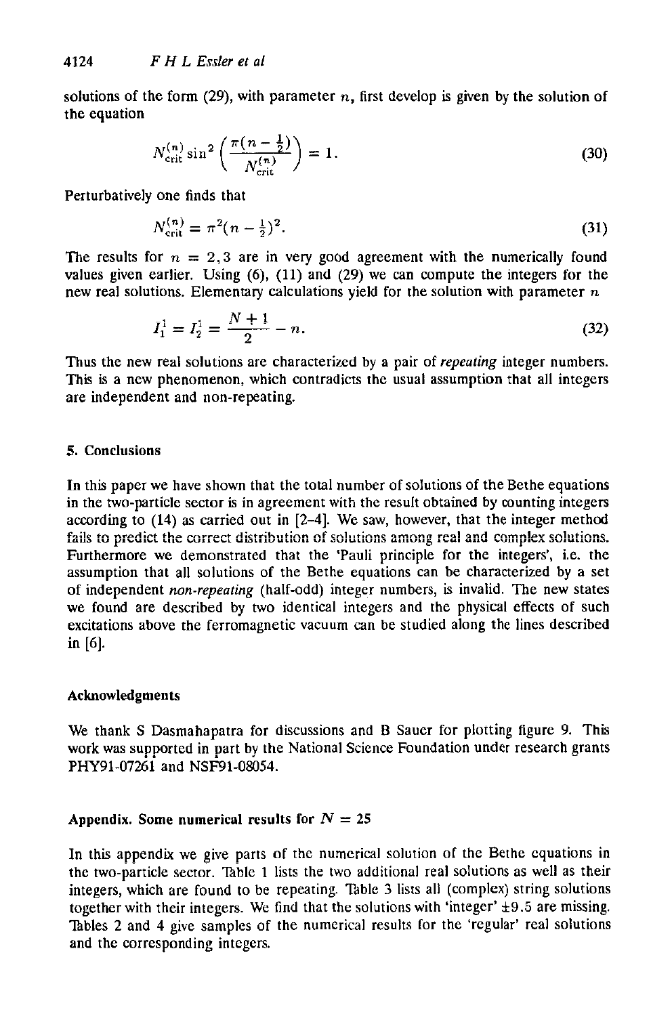solutions of the form  $(29)$ , with parameter *n*, first develop is given by the solution of the equation

$$
N_{\rm crit}^{(n)} \sin^2 \left( \frac{\pi (n - \frac{1}{2})}{N_{\rm crit}^{(n)}} \right) = 1.
$$
 (30)

Perturbatively one finds that

$$
N_{\text{crit}}^{(n)} = \pi^2 (n - \frac{1}{2})^2. \tag{31}
$$

The results for  $n = 2,3$  are in very good agreement with the numerically found values given earlier. Using **(6),** (11) and **(29)** we can compute the integers for the new real solutions. Elementary calculations yield for the solution with parameter  $n$ 

$$
I_1^1 = I_2^1 = \frac{N+1}{2} - n. \tag{32}
$$

Thus the new real solutions are characterized by a pair of *repeating* integer numbers. This is a new phenomenon, which contradicts the usual assumption that all integers are independent and non-repeating.

#### *5.* Conclusions

In this paper we have shown that the total number of solutions of the Bethe equations in the two-particle sector is in agreement with the result obtained by counting integers according to **(14)** as carried out in [2-4]. We saw, however, that the integer method Furthermore we demonstrated that the 'Pauli principle for the integers', i.e. the assumption that all solutions of the Bethe equations can be characterized by a set of independent *non-repeating* (half-odd) integer numbers, is invalid. The new states we found are described by two identical integers and the physical effects of such excitations above the ferromagnetic vacuum can be studied along the lines described in *[6].*  fails to predict the correct distribution of solutions among real and complex solutions.

#### Acknowledgments

We thank S Dasmahapatra for discussions and B Sauer for plotting figure **9. This**  work was supported in part by the National Science Foundation **under** research grants **PHY91-07261** and **NSF91-08054.** 

#### Appendix. Some numerical results for  $N = 25$

In this appendix we give parts of the numerical solution of the Bcthe cquations in the two-particle sector. Thble **1** lists the two additional real solutions as well as their integers, which are found to be repeating. Table 3 lists all (complex) string solutions together with their integers. We find that the solutions with 'integer' **\*9.5** are missing. Tables 2 and 4 give samples of the numerical results for the 'regular' real solutions and the corresponding intcgers.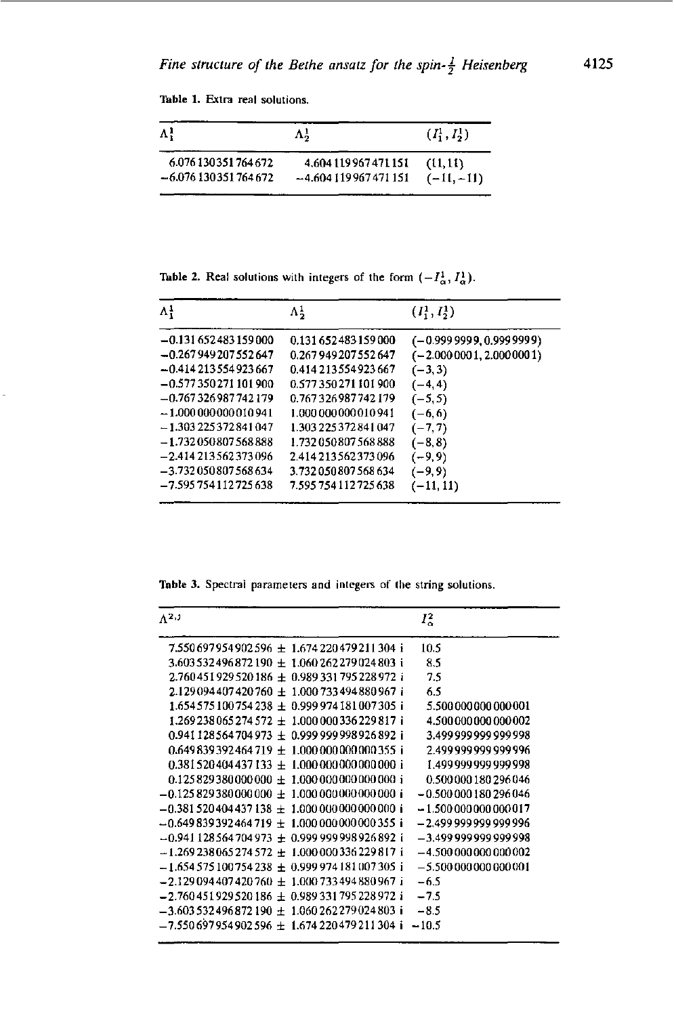Table 1. Extra real solutions.

| $\Lambda^1$          | Λå                    | $(I_1^1, I_2^1)$ |
|----------------------|-----------------------|------------------|
| 6.076130351764672    | 4.604 119 967 471 151 | (1, 11)          |
| $-6.076130351764672$ | $-4.604119967471151$  | $(-11,-11)$      |

Table 2. Real solutions with integers of the form  $(-I^1_\alpha, I^1_\alpha)$ .

| $\Lambda^1_1$          | $\Lambda^1$             | $(I_1^1, I_2^1)$          |
|------------------------|-------------------------|---------------------------|
| $-0.131652483159000$   | 0.131 652 483 159 000   | $(-0.999999, 0.999999)$   |
| $-0.267949207552647$   | 0.267949207552647       | $(-2.0000001, 2.0000001)$ |
| $-0.414213554923667$   | 0.414213554923667       | $(-3, 3)$                 |
| $-0.577350271101900$   | 0.577350271101900       | $(-4, 4)$                 |
| $-0.767326987742179$   | 0.767326987742179       | $(-5, 5)$                 |
| $-1.000000000010941$   | 1.000000000010941       | $(-6, 6)$                 |
| $-1.303225372841047$   | 1.303 225 372 841 047   | $(-7, 7)$                 |
| $-1.73205080756888$    | 1.732050807568888       | $(-8, 8)$                 |
| $-2.414213562373096$   | 2.414 213 56 23 73 09 6 | $(-9, 9)$                 |
| $-3.732050807568634$   | 3.732050807568634       | $(-9, 9)$                 |
| -7.595 754 112 725 638 | 7.595 754 112 725 638   | $(-11, 11)$               |

Table 3. Spectral parameters and integers of the string solutions.

| $\Lambda^{2,1}$                              | $I_{\alpha}^2$               |
|----------------------------------------------|------------------------------|
| 7.550697954902596 ± 1.674220479211304 i      | 10.5                         |
| 3.603532496872190 + 1.060262279024803 i      | 8.5                          |
| 2.760451929520186 ± 0.989331795228972 i      | 7.5                          |
| 2.129094407420760 + 1.000733494880967 i      | 6.5                          |
| $1.654575100754238 \pm 0.999974181007305$    | 5.500 000 000 000 001        |
| $1.269238065274572 + 1.000000336229817$ i    | 4.500 000 000 000 002        |
| $0.941128564704973 + 0.99999998926892$ i     | 3.499 999 999 999 998        |
| $0.649839392464719 + 1.000000000000355$ i    | 2 499 999 999 999 996        |
| $0.381520404437133 + 1.0000000000000001$     | 1.499 999 999 999 998        |
| $0.125829380000000 \pm 1.000000000000000 i$  | 0.500000180296046            |
| $-0.125829380000000 \pm 1.0000000000000000$  | -0.500 000 180 296 046       |
| $-0.381520404437138 + 1.0000000000000001$    | $-1.500000000000017$         |
| $-0.649839392464719 + 1.00000000000355$ i    | -2.499 999 999 999 996       |
| $-0.941128564704973 \pm 0.99999998926892 i$  | -3.499 999 999 999 998       |
| $-1.269238065274572 + 1.000000336229817$ i   | -4.500 000 000 000 002       |
| $-1.654575100754238 + 0.999974181007305$ i   | $-5.500\,000\,000\,000\,001$ |
| $-2.129094407420760 \pm 1.000733494880967 i$ | $-6.5$                       |
| $-2.760451929520186 + 0.989331795228972$ i   | $-7.5$                       |
| $-3.603532496872190 \pm 1.060262279024803$ i | $-8.5$                       |
| $-7.550697954902596 \pm 1.674220479211304$ i | $-10.5$                      |